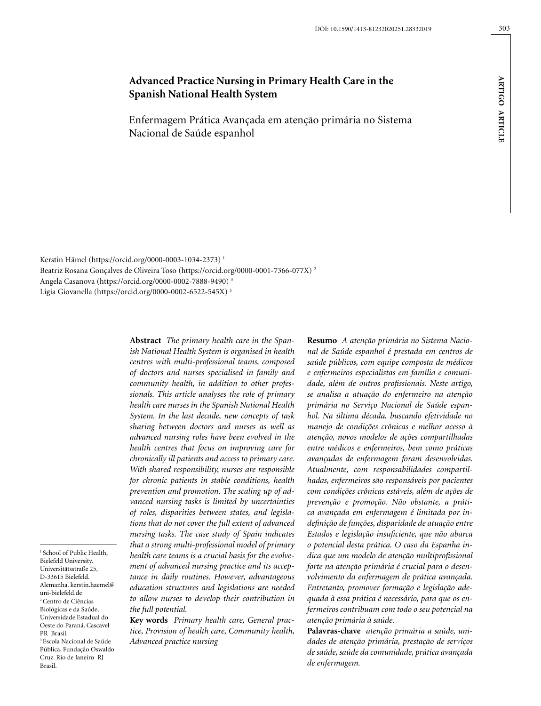**A**

**rtigo A**

**rti cle**

Enfermagem Prática Avançada em atenção primária no Sistema Nacional de Saúde espanhol

Kerstin Hämel (https://orcid.org/0000-0003-1034-2373) 1 Beatriz Rosana Gonçalves de Oliveira Toso (https://orcid.org/0000-0001-7366-077X) 2 Angela Casanova (https://orcid.org/0000-0002-7888-9490) 3 Ligia Giovanella (https://orcid.org/0000-0002-6522-545X) 3

> **Abstract** *The primary health care in the Spanish National Health System is organised in health centres with multi-professional teams, composed of doctors and nurses specialised in family and community health, in addition to other professionals. This article analyses the role of primary health care nurses in the Spanish National Health System. In the last decade, new concepts of task sharing between doctors and nurses as well as advanced nursing roles have been evolved in the health centres that focus on improving care for chronically ill patients and access to primary care. With shared responsibility, nurses are responsible for chronic patients in stable conditions, health prevention and promotion. The scaling up of advanced nursing tasks is limited by uncertainties of roles, disparities between states, and legislations that do not cover the full extent of advanced nursing tasks. The case study of Spain indicates that a strong multi-professional model of primary health care teams is a crucial basis for the evolvement of advanced nursing practice and its acceptance in daily routines. However, advantageous education structures and legislations are needed to allow nurses to develop their contribution in the full potential.*

> **Key words** *Primary health care, General practice, Provision of health care, Community health, Advanced practice nursing*

**Resumo** *A atenção primária no Sistema Nacional de Saúde espanhol é prestada em centros de saúde públicos, com equipe composta de médicos e enfermeiros especialistas em família e comunidade, além de outros profissionais. Neste artigo, se analisa a atuação do enfermeiro na atenção primária no Serviço Nacional de Saúde espanhol. Na última década, buscando efetividade no manejo de condições crônicas e melhor acesso à atenção, novos modelos de ações compartilhadas entre médicos e enfermeiros, bem como práticas avançadas de enfermagem foram desenvolvidas. Atualmente, com responsabilidades compartilhadas, enfermeiros são responsáveis por pacientes com condições crônicas estáveis, além de ações de prevenção e promoção. Não obstante, a prática avançada em enfermagem é limitada por indefinição de funções, disparidade de atuação entre Estados e legislação insuficiente, que não abarca o potencial desta prática. O caso da Espanha indica que um modelo de atenção multiprofissional forte na atenção primária é crucial para o desenvolvimento da enfermagem de prática avançada. Entretanto, promover formação e legislação adequada à essa prática é necessário, para que os enfermeiros contribuam com todo o seu potencial na atenção primária à saúde.*

**Palavras-chave** *atenção primária a saúde, unidades de atenção primária, prestação de serviços de saúde, saúde da comunidade, prática avançada de enfermagem.*

<sup>1</sup> School of Public Health, Bielefeld University. Universitätsstraße 25, D-33615 Bielefeld. Alemanha. kerstin.haemel@ uni-bielefeld.de 2 Centro de Ciências Biológicas e da Saúde, Universidade Estadual do Oeste do Paraná. Cascavel PR Brasil. 3 Escola Nacional de Saúde Pública, Fundação Oswaldo Cruz. Rio de Janeiro RJ Brasil.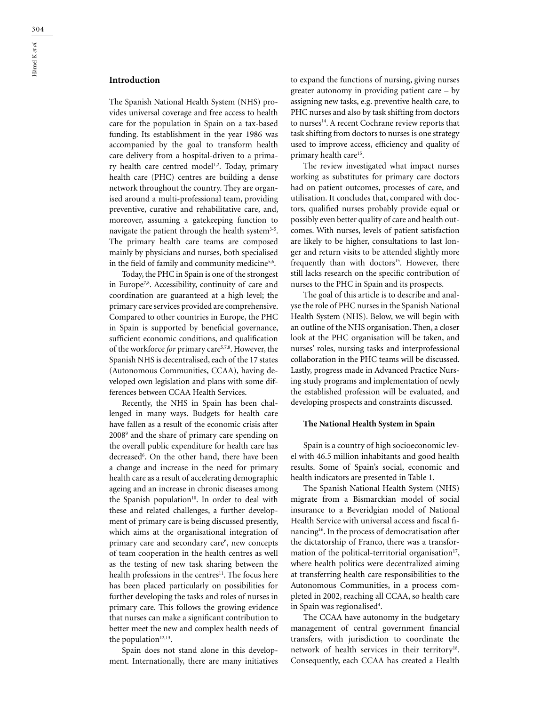# **Introduction**

The Spanish National Health System (NHS) provides universal coverage and free access to health care for the population in Spain on a tax-based funding. Its establishment in the year 1986 was accompanied by the goal to transform health care delivery from a hospital-driven to a primary health care centred model<sup>1,2</sup>. Today, primary health care (PHC) centres are building a dense network throughout the country. They are organised around a multi-professional team, providing preventive, curative and rehabilitative care, and, moreover, assuming a gatekeeping function to navigate the patient through the health system<sup>3-5</sup>. The primary health care teams are composed mainly by physicians and nurses, both specialised in the field of family and community medicine<sup>5,6</sup>.

Today, the PHC in Spain is one of the strongest in Europe<sup>7,8</sup>. Accessibility, continuity of care and coordination are guaranteed at a high level; the primary care services provided are comprehensive. Compared to other countries in Europe, the PHC in Spain is supported by beneficial governance, sufficient economic conditions, and qualification of the workforce *for* primary care5,7,8. However, the Spanish NHS is decentralised, each of the 17 states (Autonomous Communities, CCAA), having developed own legislation and plans with some differences between CCAA Health Services.

Recently, the NHS in Spain has been challenged in many ways. Budgets for health care have fallen as a result of the economic crisis after 20089 and the share of primary care spending on the overall public expenditure for health care has decreased<sup>6</sup>. On the other hand, there have been a change and increase in the need for primary health care as a result of accelerating demographic ageing and an increase in chronic diseases among the Spanish population<sup>10</sup>. In order to deal with these and related challenges, a further development of primary care is being discussed presently, which aims at the organisational integration of primary care and secondary care<sup>6</sup>, new concepts of team cooperation in the health centres as well as the testing of new task sharing between the health professions in the centres<sup>11</sup>. The focus here has been placed particularly on possibilities for further developing the tasks and roles of nurses in primary care. This follows the growing evidence that nurses can make a significant contribution to better meet the new and complex health needs of the population<sup>12,13</sup>.

Spain does not stand alone in this development. Internationally, there are many initiatives to expand the functions of nursing, giving nurses greater autonomy in providing patient care – by assigning new tasks, e.g. preventive health care, to PHC nurses and also by task shifting from doctors to nurses<sup>14</sup>. A recent Cochrane review reports that task shifting from doctors to nurses is one strategy used to improve access, efficiency and quality of primary health care<sup>15</sup>.

The review investigated what impact nurses working as substitutes for primary care doctors had on patient outcomes, processes of care, and utilisation. It concludes that, compared with doctors, qualified nurses probably provide equal or possibly even better quality of care and health outcomes. With nurses, levels of patient satisfaction are likely to be higher, consultations to last longer and return visits to be attended slightly more frequently than with doctors<sup>15</sup>. However, there still lacks research on the specific contribution of nurses to the PHC in Spain and its prospects.

The goal of this article is to describe and analyse the role of PHC nurses in the Spanish National Health System (NHS). Below, we will begin with an outline of the NHS organisation. Then, a closer look at the PHC organisation will be taken, and nurses' roles, nursing tasks and interprofessional collaboration in the PHC teams will be discussed. Lastly, progress made in Advanced Practice Nursing study programs and implementation of newly the established profession will be evaluated, and developing prospects and constraints discussed.

#### **The National Health System in Spain**

Spain is a country of high socioeconomic level with 46.5 million inhabitants and good health results. Some of Spain's social, economic and health indicators are presented in Table 1.

The Spanish National Health System (NHS) migrate from a Bismarckian model of social insurance to a Beveridgian model of National Health Service with universal access and fiscal financing16. In the process of democratisation after the dictatorship of Franco, there was a transformation of the political-territorial organisation<sup>17</sup>, where health politics were decentralized aiming at transferring health care responsibilities to the Autonomous Communities, in a process completed in 2002, reaching all CCAA, so health care in Spain was regionalised<sup>4</sup>.

The CCAA have autonomy in the budgetary management of central government financial transfers, with jurisdiction to coordinate the network of health services in their territory<sup>18</sup>. Consequently, each CCAA has created a Health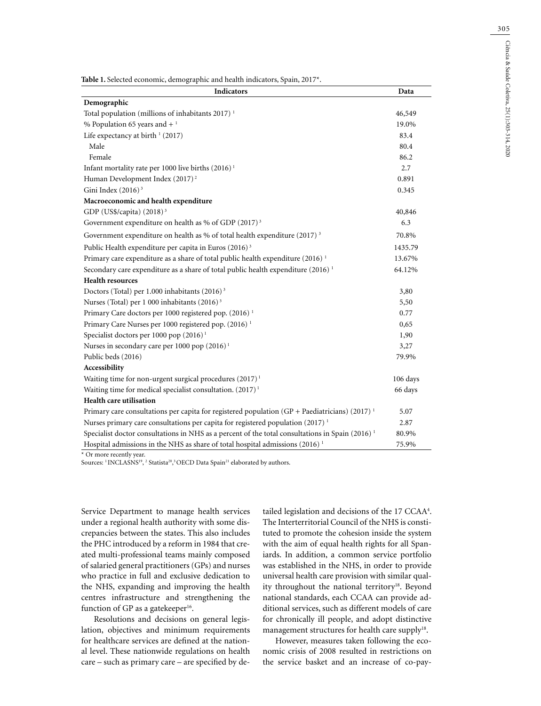**Table 1.** Selected economic, demographic and health indicators, Spain, 2017\*.

| Indicators                                                                                                  | Data     |  |
|-------------------------------------------------------------------------------------------------------------|----------|--|
| Demographic                                                                                                 |          |  |
| Total population (millions of inhabitants 2017) <sup>1</sup>                                                | 46,549   |  |
| % Population 65 years and $+$ <sup>1</sup>                                                                  | 19.0%    |  |
| Life expectancy at birth $(2017)$                                                                           | 83.4     |  |
| Male                                                                                                        | 80.4     |  |
| Female                                                                                                      | 86.2     |  |
| Infant mortality rate per 1000 live births $(2016)^1$                                                       | 2.7      |  |
| Human Development Index (2017) <sup>2</sup>                                                                 | 0.891    |  |
| Gini Index $(2016)^3$                                                                                       | 0.345    |  |
| Macroeconomic and health expenditure                                                                        |          |  |
| GDP (US\$/capita) $(2018)^3$                                                                                | 40,846   |  |
| Government expenditure on health as % of GDP $(2017)^3$                                                     | 6.3      |  |
| Government expenditure on health as % of total health expenditure (2017) <sup>3</sup>                       | 70.8%    |  |
| Public Health expenditure per capita in Euros (2016) <sup>3</sup>                                           | 1435.79  |  |
| Primary care expenditure as a share of total public health expenditure (2016) <sup>1</sup>                  | 13.67%   |  |
| Secondary care expenditure as a share of total public health expenditure (2016) <sup>1</sup>                |          |  |
| <b>Health resources</b>                                                                                     |          |  |
| Doctors (Total) per 1.000 inhabitants (2016) <sup>3</sup>                                                   | 3,80     |  |
| Nurses (Total) per 1 000 inhabitants (2016) <sup>3</sup>                                                    | 5,50     |  |
| Primary Care doctors per 1000 registered pop. (2016) <sup>1</sup>                                           | 0.77     |  |
| Primary Care Nurses per 1000 registered pop. (2016) <sup>1</sup>                                            | 0,65     |  |
| Specialist doctors per 1000 pop (2016) <sup>1</sup>                                                         | 1,90     |  |
| Nurses in secondary care per 1000 pop (2016) <sup>1</sup>                                                   | 3,27     |  |
| Public beds (2016)                                                                                          | 79.9%    |  |
| Accessibility                                                                                               |          |  |
| Waiting time for non-urgent surgical procedures (2017) <sup>1</sup>                                         | 106 days |  |
| Waiting time for medical specialist consultation. (2017) <sup>1</sup>                                       | 66 days  |  |
| Health care utilisation                                                                                     |          |  |
| Primary care consultations per capita for registered population (GP + Paediatricians) (2017) <sup>1</sup>   | 5.07     |  |
| Nurses primary care consultations per capita for registered population (2017) <sup>1</sup>                  | 2.87     |  |
| Specialist doctor consultations in NHS as a percent of the total consultations in Spain (2016) <sup>1</sup> | 80.9%    |  |
| Hospital admissions in the NHS as share of total hospital admissions (2016) <sup>1</sup>                    |          |  |

\* Or more recently year.

Sources: <sup>1</sup> INCLASNS<sup>19</sup>, <sup>2</sup> Statista<sup>20</sup>,<sup>3</sup> OECD Data Spain<sup>21</sup> elaborated by authors.

Service Department to manage health services under a regional health authority with some discrepancies between the states. This also includes the PHC introduced by a reform in 1984 that created multi-professional teams mainly composed of salaried general practitioners (GPs) and nurses who practice in full and exclusive dedication to the NHS, expanding and improving the health centres infrastructure and strengthening the function of GP as a gatekeeper $16$ .

Resolutions and decisions on general legislation, objectives and minimum requirements for healthcare services are defined at the national level. These nationwide regulations on health care – such as primary care – are specified by de-

tailed legislation and decisions of the 17 CCAA<sup>4</sup>. The Interterritorial Council of the NHS is constituted to promote the cohesion inside the system with the aim of equal health rights for all Spaniards. In addition, a common service portfolio was established in the NHS, in order to provide universal health care provision with similar quality throughout the national territory<sup>18</sup>. Beyond national standards, each CCAA can provide additional services, such as different models of care for chronically ill people, and adopt distinctive management structures for health care supply<sup>18</sup>.

However, measures taken following the economic crisis of 2008 resulted in restrictions on the service basket and an increase of co-pay-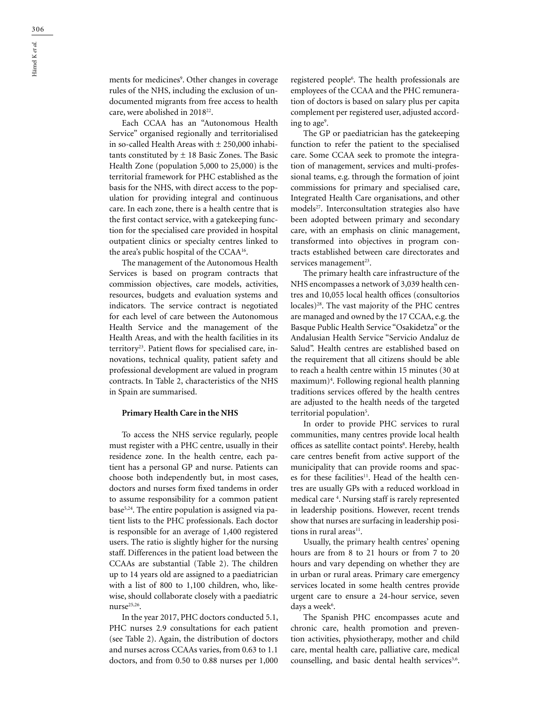ments for medicines<sup>9</sup>. Other changes in coverage rules of the NHS, including the exclusion of undocumented migrants from free access to health care, were abolished in 201822.

Each CCAA has an "Autonomous Health Service" organised regionally and territorialised in so-called Health Areas with  $\pm$  250,000 inhabitants constituted by  $\pm$  18 Basic Zones. The Basic Health Zone (population 5,000 to 25,000) is the territorial framework for PHC established as the basis for the NHS, with direct access to the population for providing integral and continuous care. In each zone, there is a health centre that is the first contact service, with a gatekeeping function for the specialised care provided in hospital outpatient clinics or specialty centres linked to the area's public hospital of the CCAA16.

The management of the Autonomous Health Services is based on program contracts that commission objectives, care models, activities, resources, budgets and evaluation systems and indicators. The service contract is negotiated for each level of care between the Autonomous Health Service and the management of the Health Areas, and with the health facilities in its territory<sup>23</sup>. Patient flows for specialised care, innovations, technical quality, patient safety and professional development are valued in program contracts. In Table 2, characteristics of the NHS in Spain are summarised.

#### **Primary Health Care in the NHS**

To access the NHS service regularly, people must register with a PHC centre, usually in their residence zone. In the health centre, each patient has a personal GP and nurse. Patients can choose both independently but, in most cases, doctors and nurses form fixed tandems in order to assume responsibility for a common patient base<sup>5,24</sup>. The entire population is assigned via patient lists to the PHC professionals. Each doctor is responsible for an average of 1,400 registered users. The ratio is slightly higher for the nursing staff. Differences in the patient load between the CCAAs are substantial (Table 2). The children up to 14 years old are assigned to a paediatrician with a list of 800 to 1,100 children, who, likewise, should collaborate closely with a paediatric  $nurse<sup>25,26</sup>$ .

In the year 2017, PHC doctors conducted 5.1, PHC nurses 2.9 consultations for each patient (see Table 2). Again, the distribution of doctors and nurses across CCAAs varies, from 0.63 to 1.1 doctors, and from 0.50 to 0.88 nurses per 1,000

registered people6 . The health professionals are employees of the CCAA and the PHC remuneration of doctors is based on salary plus per capita complement per registered user, adjusted according to age<sup>9</sup>.

The GP or paediatrician has the gatekeeping function to refer the patient to the specialised care. Some CCAA seek to promote the integration of management, services and multi-professional teams, e.g. through the formation of joint commissions for primary and specialised care, Integrated Health Care organisations, and other models<sup>27</sup>. Interconsultation strategies also have been adopted between primary and secondary care, with an emphasis on clinic management, transformed into objectives in program contracts established between care directorates and services management $23$ .

The primary health care infrastructure of the NHS encompasses a network of 3,039 health centres and 10,055 local health offices (consultorios locales)<sup>28</sup>. The vast majority of the PHC centres are managed and owned by the 17 CCAA, e.g. the Basque Public Health Service "Osakidetza" or the Andalusian Health Service "Servicio Andaluz de Salud". Health centres are established based on the requirement that all citizens should be able to reach a health centre within 15 minutes (30 at maximum)4 . Following regional health planning traditions services offered by the health centres are adjusted to the health needs of the targeted territorial population<sup>5</sup>.

In order to provide PHC services to rural communities, many centres provide local health offices as satellite contact points<sup>8</sup>. Hereby, health care centres benefit from active support of the municipality that can provide rooms and spaces for these facilities<sup>11</sup>. Head of the health centres are usually GPs with a reduced workload in medical care 4 . Nursing staff is rarely represented in leadership positions. However, recent trends show that nurses are surfacing in leadership positions in rural areas $^{11}$ .

Usually, the primary health centres' opening hours are from 8 to 21 hours or from 7 to 20 hours and vary depending on whether they are in urban or rural areas. Primary care emergency services located in some health centres provide urgent care to ensure a 24-hour service, seven days a week<sup>6</sup>.

The Spanish PHC encompasses acute and chronic care, health promotion and prevention activities, physiotherapy, mother and child care, mental health care, palliative care, medical counselling, and basic dental health services<sup>3,6</sup>.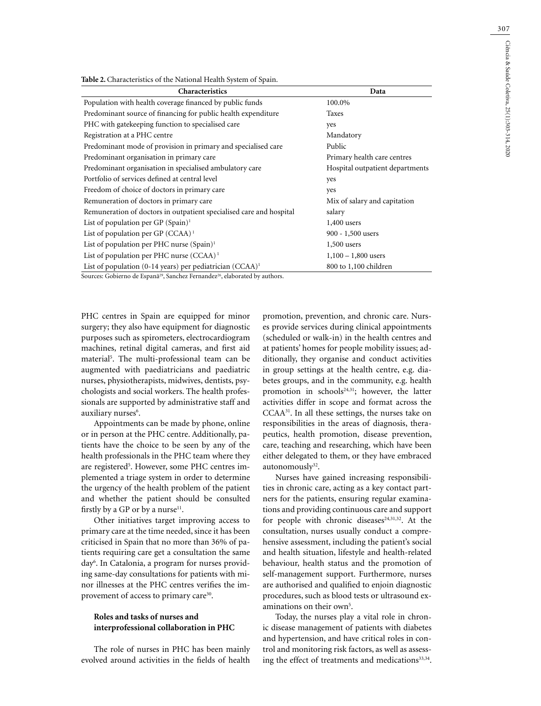| Table 2. Characteristics of the National Health System of Spain. |  |
|------------------------------------------------------------------|--|
|------------------------------------------------------------------|--|

| Characteristics                                                     | Data                            |
|---------------------------------------------------------------------|---------------------------------|
| Population with health coverage financed by public funds            | 100.0%                          |
| Predominant source of financing for public health expenditure       | Taxes                           |
| PHC with gate keeping function to specialised care                  | yes                             |
| Registration at a PHC centre                                        | Mandatory                       |
| Predominant mode of provision in primary and specialised care       | Public                          |
| Predominant organisation in primary care                            | Primary health care centres     |
| Predominant organisation in specialised ambulatory care             | Hospital outpatient departments |
| Portfolio of services defined at central level                      | yes                             |
| Freedom of choice of doctors in primary care                        | yes                             |
| Remuneration of doctors in primary care                             | Mix of salary and capitation    |
| Remuneration of doctors in outpatient specialised care and hospital | salary                          |
| List of population per GP $(Spain)^1$                               | $1,400$ users                   |
| List of population per GP $(CCAA)^1$                                | $900 - 1,500$ users             |
| List of population per PHC nurse $(Spain)^1$                        | $1,500$ users                   |
| List of population per PHC nurse (CCAA) <sup>1</sup>                | $1,100 - 1,800$ users           |
| List of population (0-14 years) per pediatrician $(CCAA)^1$         | 800 to 1,100 children           |

Sources: Gobierno de Espanã<sup>29</sup>, Sanchez Fernandez<sup>26</sup>, elaborated by authors.

PHC centres in Spain are equipped for minor surgery; they also have equipment for diagnostic purposes such as spirometers, electrocardiogram machines, retinal digital cameras, and first aid material5 . The multi-professional team can be augmented with paediatricians and paediatric nurses, physiotherapists, midwives, dentists, psychologists and social workers. The health professionals are supported by administrative staff and auxiliary nurses<sup>6</sup>.

Appointments can be made by phone, online or in person at the PHC centre. Additionally, patients have the choice to be seen by any of the health professionals in the PHC team where they are registered<sup>5</sup>. However, some PHC centres implemented a triage system in order to determine the urgency of the health problem of the patient and whether the patient should be consulted firstly by a GP or by a nurse $11$ .

Other initiatives target improving access to primary care at the time needed, since it has been criticised in Spain that no more than 36% of patients requiring care get a consultation the same day<sup>6</sup>. In Catalonia, a program for nurses providing same-day consultations for patients with minor illnesses at the PHC centres verifies the improvement of access to primary care<sup>30</sup>.

## **Roles and tasks of nurses and interprofessional collaboration in PHC**

The role of nurses in PHC has been mainly evolved around activities in the fields of health promotion, prevention, and chronic care. Nurses provide services during clinical appointments (scheduled or walk-in) in the health centres and at patients' homes for people mobility issues; additionally, they organise and conduct activities in group settings at the health centre, e.g. diabetes groups, and in the community, e.g. health promotion in schools<sup>24,31</sup>; however, the latter activities differ in scope and format across the CCAA31. In all these settings, the nurses take on responsibilities in the areas of diagnosis, therapeutics, health promotion, disease prevention, care, teaching and researching, which have been either delegated to them, or they have embraced autonomously<sup>32</sup>.

Nurses have gained increasing responsibilities in chronic care, acting as a key contact partners for the patients, ensuring regular examinations and providing continuous care and support for people with chronic diseases $24,31,32$ . At the consultation, nurses usually conduct a comprehensive assessment, including the patient's social and health situation, lifestyle and health-related behaviour, health status and the promotion of self-management support. Furthermore, nurses are authorised and qualified to enjoin diagnostic procedures, such as blood tests or ultrasound examinations on their own<sup>5</sup>.

Today, the nurses play a vital role in chronic disease management of patients with diabetes and hypertension, and have critical roles in control and monitoring risk factors, as well as assessing the effect of treatments and medications<sup>33,34</sup>.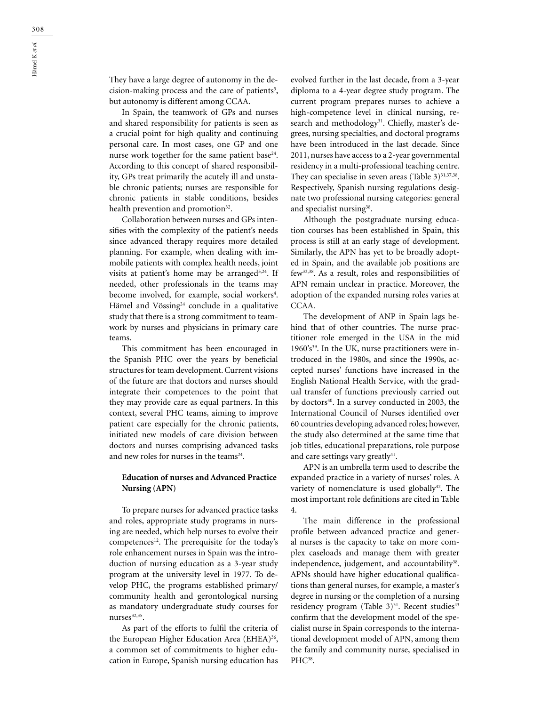They have a large degree of autonomy in the decision-making process and the care of patients<sup>5</sup>, but autonomy is different among CCAA.

In Spain, the teamwork of GPs and nurses and shared responsibility for patients is seen as a crucial point for high quality and continuing personal care. In most cases, one GP and one nurse work together for the same patient base<sup>24</sup>. According to this concept of shared responsibility, GPs treat primarily the acutely ill and unstable chronic patients; nurses are responsible for chronic patients in stable conditions, besides health prevention and promotion<sup>32</sup>.

Collaboration between nurses and GPs intensifies with the complexity of the patient's needs since advanced therapy requires more detailed planning. For example, when dealing with immobile patients with complex health needs, joint visits at patient's home may be arranged<sup>5,24</sup>. If needed, other professionals in the teams may become involved, for example, social workers<sup>4</sup>. Hämel and Vössing<sup>24</sup> conclude in a qualitative study that there is a strong commitment to teamwork by nurses and physicians in primary care teams.

This commitment has been encouraged in the Spanish PHC over the years by beneficial structures for team development. Current visions of the future are that doctors and nurses should integrate their competences to the point that they may provide care as equal partners. In this context, several PHC teams, aiming to improve patient care especially for the chronic patients, initiated new models of care division between doctors and nurses comprising advanced tasks and new roles for nurses in the teams $24$ .

## **Education of nurses and Advanced Practice Nursing (APN)**

To prepare nurses for advanced practice tasks and roles, appropriate study programs in nursing are needed, which help nurses to evolve their competences<sup>12</sup>. The prerequisite for the today's role enhancement nurses in Spain was the introduction of nursing education as a 3-year study program at the university level in 1977. To develop PHC, the programs established primary/ community health and gerontological nursing as mandatory undergraduate study courses for nurses<sup>32,35</sup>.

As part of the efforts to fulfil the criteria of the European Higher Education Area (EHEA)<sup>36</sup>, a common set of commitments to higher education in Europe, Spanish nursing education has

evolved further in the last decade, from a 3-year diploma to a 4-year degree study program. The current program prepares nurses to achieve a high-competence level in clinical nursing, research and methodology<sup>31</sup>. Chiefly, master's degrees, nursing specialties, and doctoral programs have been introduced in the last decade. Since 2011, nurses have access to a 2-year governmental residency in a multi-professional teaching centre. They can specialise in seven areas (Table  $3)^{31,37,38}$ . Respectively, Spanish nursing regulations designate two professional nursing categories: general and specialist nursing<sup>38</sup>.

Although the postgraduate nursing education courses has been established in Spain, this process is still at an early stage of development. Similarly, the APN has yet to be broadly adopted in Spain, and the available job positions are few33,38. As a result, roles and responsibilities of APN remain unclear in practice. Moreover, the adoption of the expanded nursing roles varies at CCAA.

The development of ANP in Spain lags behind that of other countries. The nurse practitioner role emerged in the USA in the mid 1960's<sup>39</sup>. In the UK, nurse practitioners were introduced in the 1980s, and since the 1990s, accepted nurses' functions have increased in the English National Health Service, with the gradual transfer of functions previously carried out by doctors<sup>40</sup>. In a survey conducted in 2003, the International Council of Nurses identified over 60 countries developing advanced roles; however, the study also determined at the same time that job titles, educational preparations, role purpose and care settings vary greatly $41$ .

APN is an umbrella term used to describe the expanded practice in a variety of nurses' roles. A variety of nomenclature is used globally<sup>42</sup>. The most important role definitions are cited in Table 4.

The main difference in the professional profile between advanced practice and general nurses is the capacity to take on more complex caseloads and manage them with greater independence, judgement, and accountability<sup>38</sup>. APNs should have higher educational qualifications than general nurses, for example, a master's degree in nursing or the completion of a nursing residency program (Table  $3)^{31}$ . Recent studies<sup>43</sup> confirm that the development model of the specialist nurse in Spain corresponds to the international development model of APN, among them the family and community nurse, specialised in PHC<sup>38</sup>.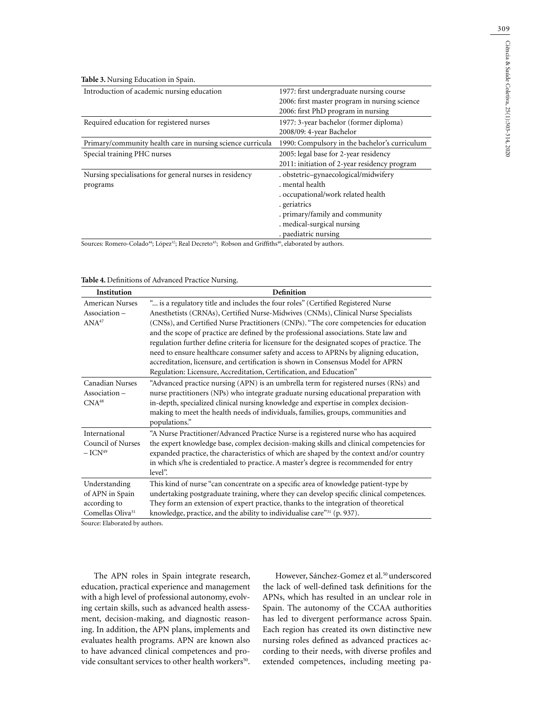**Table 3.** Nursing Education in Spain.

| Introduction of academic nursing education                 | 1977: first undergraduate nursing course      |
|------------------------------------------------------------|-----------------------------------------------|
|                                                            | 2006: first master program in nursing science |
|                                                            | 2006: first PhD program in nursing            |
| Required education for registered nurses                   | 1977: 3-year bachelor (former diploma)        |
|                                                            | 2008/09: 4-year Bachelor                      |
| Primary/community health care in nursing science curricula | 1990: Compulsory in the bachelor's curriculum |
| Special training PHC nurses                                | 2005: legal base for 2-year residency         |
|                                                            | 2011: initiation of 2-year residency program  |
| Nursing specialisations for general nurses in residency    | . obstetric-gynaecological/midwifery          |
| programs                                                   | mental health                                 |
|                                                            | . occupational/work related health            |
|                                                            | . geriatrics                                  |
|                                                            | . primary/family and community                |
|                                                            | . medical-surgical nursing                    |
|                                                            | paediatric nursing                            |

Sources: Romero-Colado<sup>44</sup>; López<sup>32</sup>; Real Decreto<sup>45</sup>; Robson and Griffiths<sup>46</sup>, elaborated by authors.

| Table 4. Definitions of Advanced Practice Nursing. |  |  |  |
|----------------------------------------------------|--|--|--|
|----------------------------------------------------|--|--|--|

| Institution                                                                      | <b>Definition</b>                                                                                                                                                                                                                                                                                                                                                                                                                                                                                                                                                                                                                                                                                          |
|----------------------------------------------------------------------------------|------------------------------------------------------------------------------------------------------------------------------------------------------------------------------------------------------------------------------------------------------------------------------------------------------------------------------------------------------------------------------------------------------------------------------------------------------------------------------------------------------------------------------------------------------------------------------------------------------------------------------------------------------------------------------------------------------------|
| <b>American Nurses</b><br>Association-<br>ANA <sup>47</sup>                      | " is a regulatory title and includes the four roles" (Certified Registered Nurse<br>Anesthetists (CRNAs), Certified Nurse-Midwives (CNMs), Clinical Nurse Specialists<br>(CNSs), and Certified Nurse Practitioners (CNPs). "The core competencies for education<br>and the scope of practice are defined by the professional associations. State law and<br>regulation further define criteria for licensure for the designated scopes of practice. The<br>need to ensure healthcare consumer safety and access to APRNs by aligning education,<br>accreditation, licensure, and certification is shown in Consensus Model for APRN<br>Regulation: Licensure, Accreditation, Certification, and Education" |
| Canadian Nurses<br>Association-<br>CNA <sup>48</sup>                             | "Advanced practice nursing (APN) is an umbrella term for registered nurses (RNs) and<br>nurse practitioners (NPs) who integrate graduate nursing educational preparation with<br>in-depth, specialized clinical nursing knowledge and expertise in complex decision-<br>making to meet the health needs of individuals, families, groups, communities and<br>populations."                                                                                                                                                                                                                                                                                                                                 |
| International<br>Council of Nurses<br>$-$ ICN <sup>49</sup>                      | "A Nurse Practitioner/Advanced Practice Nurse is a registered nurse who has acquired<br>the expert knowledge base, complex decision-making skills and clinical competencies for<br>expanded practice, the characteristics of which are shaped by the context and/or country<br>in which s/he is credentialed to practice. A master's degree is recommended for entry<br>level".                                                                                                                                                                                                                                                                                                                            |
| Understanding<br>of APN in Spain<br>according to<br>Comellas Oliva <sup>31</sup> | This kind of nurse "can concentrate on a specific area of knowledge patient-type by<br>undertaking postgraduate training, where they can develop specific clinical competences.<br>They form an extension of expert practice, thanks to the integration of theoretical<br>knowledge, practice, and the ability to individualise care" <sup>31</sup> (p. 937).                                                                                                                                                                                                                                                                                                                                              |

Source: Elaborated by authors.

The APN roles in Spain integrate research, education, practical experience and management with a high level of professional autonomy, evolving certain skills, such as advanced health assessment, decision-making, and diagnostic reasoning. In addition, the APN plans, implements and evaluates health programs. APN are known also to have advanced clinical competences and provide consultant services to other health workers<sup>50</sup>.

However, Sánchez-Gomez et al.<sup>50</sup> underscored the lack of well-defined task definitions for the APNs, which has resulted in an unclear role in Spain. The autonomy of the CCAA authorities has led to divergent performance across Spain. Each region has created its own distinctive new nursing roles defined as advanced practices according to their needs, with diverse profiles and extended competences, including meeting pa-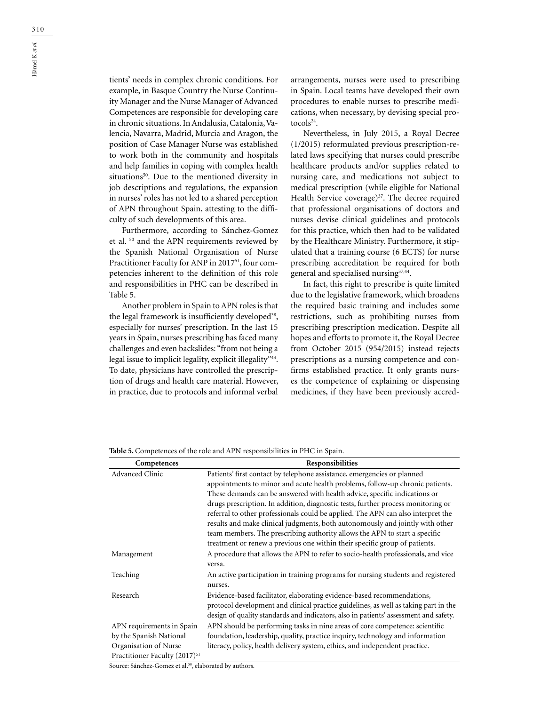tients' needs in complex chronic conditions. For example, in Basque Country the Nurse Continuity Manager and the Nurse Manager of Advanced Competences are responsible for developing care in chronic situations. In Andalusia, Catalonia, Valencia, Navarra, Madrid, Murcia and Aragon, the position of Case Manager Nurse was established to work both in the community and hospitals and help families in coping with complex health situations<sup>50</sup>. Due to the mentioned diversity in job descriptions and regulations, the expansion in nurses' roles has not led to a shared perception of APN throughout Spain, attesting to the difficulty of such developments of this area.

Furthermore, according to Sánchez-Gomez et al. 50 and the APN requirements reviewed by the Spanish National Organisation of Nurse Practitioner Faculty for ANP in 2017<sup>51</sup>, four competencies inherent to the definition of this role and responsibilities in PHC can be described in Table 5.

Another problem in Spain to APN roles is that the legal framework is insufficiently developed<sup>38</sup>, especially for nurses' prescription. In the last 15 years in Spain, nurses prescribing has faced many challenges and even backslides: "from not being a legal issue to implicit legality, explicit illegality"<sup>44</sup>. To date, physicians have controlled the prescription of drugs and health care material. However, in practice, due to protocols and informal verbal

arrangements, nurses were used to prescribing in Spain. Local teams have developed their own procedures to enable nurses to prescribe medications, when necessary, by devising special protocols<sup>24</sup>.

Nevertheless, in July 2015, a Royal Decree (1/2015) reformulated previous prescription-related laws specifying that nurses could prescribe healthcare products and/or supplies related to nursing care, and medications not subject to medical prescription (while eligible for National Health Service coverage)<sup>37</sup>. The decree required that professional organisations of doctors and nurses devise clinical guidelines and protocols for this practice, which then had to be validated by the Healthcare Ministry. Furthermore, it stipulated that a training course (6 ECTS) for nurse prescribing accreditation be required for both general and specialised nursing37,44.

In fact, this right to prescribe is quite limited due to the legislative framework, which broadens the required basic training and includes some restrictions, such as prohibiting nurses from prescribing prescription medication. Despite all hopes and efforts to promote it, the Royal Decree from October 2015 (954/2015) instead rejects prescriptions as a nursing competence and confirms established practice. It only grants nurses the competence of explaining or dispensing medicines, if they have been previously accred-

| Competences                               | Responsibilities                                                                     |
|-------------------------------------------|--------------------------------------------------------------------------------------|
| <b>Advanced Clinic</b>                    | Patients' first contact by telephone assistance, emergencies or planned              |
|                                           | appointments to minor and acute health problems, follow-up chronic patients.         |
|                                           | These demands can be answered with health advice, specific indications or            |
|                                           | drugs prescription. In addition, diagnostic tests, further process monitoring or     |
|                                           | referral to other professionals could be applied. The APN can also interpret the     |
|                                           | results and make clinical judgments, both autonomously and jointly with other        |
|                                           | team members. The prescribing authority allows the APN to start a specific           |
|                                           | treatment or renew a previous one within their specific group of patients.           |
| Management                                | A procedure that allows the APN to refer to socio-health professionals, and vice     |
|                                           | versa.                                                                               |
| Teaching                                  | An active participation in training programs for nursing students and registered     |
|                                           | nurses.                                                                              |
| Research                                  | Evidence-based facilitator, elaborating evidence-based recommendations,              |
|                                           | protocol development and clinical practice guidelines, as well as taking part in the |
|                                           | design of quality standards and indicators, also in patients' assessment and safety. |
| APN requirements in Spain                 | APN should be performing tasks in nine areas of core competence: scientific          |
| by the Spanish National                   | foundation, leadership, quality, practice inquiry, technology and information        |
| Organisation of Nurse                     | literacy, policy, health delivery system, ethics, and independent practice.          |
| Practitioner Faculty (2017) <sup>51</sup> |                                                                                      |

**Table 5.** Competences of the role and APN responsibilities in PHC in Spain.

Source: Sánchez-Gomez et al.<sup>50</sup>, elaborated by authors.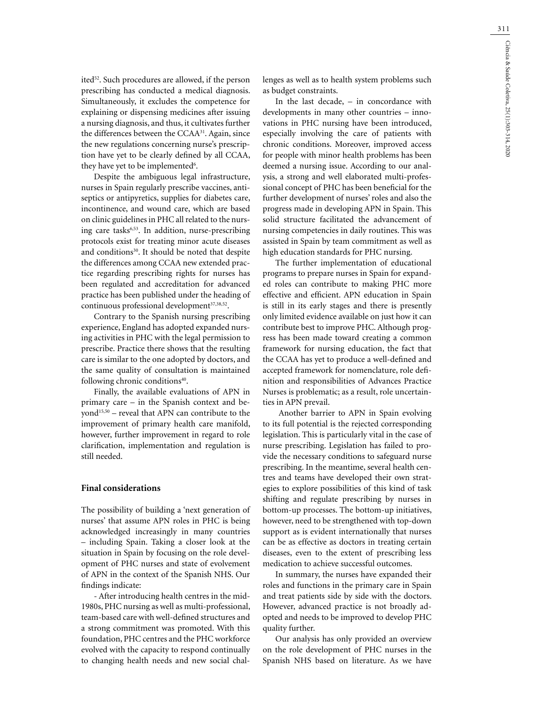311

ited<sup>52</sup>. Such procedures are allowed, if the person prescribing has conducted a medical diagnosis. Simultaneously, it excludes the competence for explaining or dispensing medicines after issuing a nursing diagnosis, and thus, it cultivates further the differences between the CCAA31. Again, since the new regulations concerning nurse's prescription have yet to be clearly defined by all CCAA, they have yet to be implemented $6$ .

Despite the ambiguous legal infrastructure, nurses in Spain regularly prescribe vaccines, antiseptics or antipyretics, supplies for diabetes care, incontinence, and wound care, which are based on clinic guidelines in PHC all related to the nursing care tasks<sup>6,53</sup>. In addition, nurse-prescribing protocols exist for treating minor acute diseases and conditions<sup>30</sup>. It should be noted that despite the differences among CCAA new extended practice regarding prescribing rights for nurses has been regulated and accreditation for advanced practice has been published under the heading of continuous professional development<sup>37,38,52</sup>.

Contrary to the Spanish nursing prescribing experience, England has adopted expanded nursing activities in PHC with the legal permission to prescribe. Practice there shows that the resulting care is similar to the one adopted by doctors, and the same quality of consultation is maintained following chronic conditions<sup>40</sup>.

Finally, the available evaluations of APN in primary care – in the Spanish context and beyond<sup>15,50</sup> – reveal that APN can contribute to the improvement of primary health care manifold, however, further improvement in regard to role clarification, implementation and regulation is still needed.

## **Final considerations**

The possibility of building a 'next generation of nurses' that assume APN roles in PHC is being acknowledged increasingly in many countries – including Spain. Taking a closer look at the situation in Spain by focusing on the role development of PHC nurses and state of evolvement of APN in the context of the Spanish NHS. Our findings indicate:

- After introducing health centres in the mid-1980s, PHC nursing as well as multi-professional, team-based care with well-defined structures and a strong commitment was promoted. With this foundation, PHC centres and the PHC workforce evolved with the capacity to respond continually to changing health needs and new social challenges as well as to health system problems such as budget constraints.

In the last decade, – in concordance with developments in many other countries – innovations in PHC nursing have been introduced, especially involving the care of patients with chronic conditions. Moreover, improved access for people with minor health problems has been deemed a nursing issue. According to our analysis, a strong and well elaborated multi-professional concept of PHC has been beneficial for the further development of nurses' roles and also the progress made in developing APN in Spain. This solid structure facilitated the advancement of nursing competencies in daily routines. This was assisted in Spain by team commitment as well as high education standards for PHC nursing.

The further implementation of educational programs to prepare nurses in Spain for expanded roles can contribute to making PHC more effective and efficient. APN education in Spain is still in its early stages and there is presently only limited evidence available on just how it can contribute best to improve PHC. Although progress has been made toward creating a common framework for nursing education, the fact that the CCAA has yet to produce a well-defined and accepted framework for nomenclature, role definition and responsibilities of Advances Practice Nurses is problematic; as a result, role uncertainties in APN prevail.

 Another barrier to APN in Spain evolving to its full potential is the rejected corresponding legislation. This is particularly vital in the case of nurse prescribing. Legislation has failed to provide the necessary conditions to safeguard nurse prescribing. In the meantime, several health centres and teams have developed their own strategies to explore possibilities of this kind of task shifting and regulate prescribing by nurses in bottom-up processes. The bottom-up initiatives, however, need to be strengthened with top-down support as is evident internationally that nurses can be as effective as doctors in treating certain diseases, even to the extent of prescribing less medication to achieve successful outcomes.

In summary, the nurses have expanded their roles and functions in the primary care in Spain and treat patients side by side with the doctors. However, advanced practice is not broadly adopted and needs to be improved to develop PHC quality further.

Our analysis has only provided an overview on the role development of PHC nurses in the Spanish NHS based on literature. As we have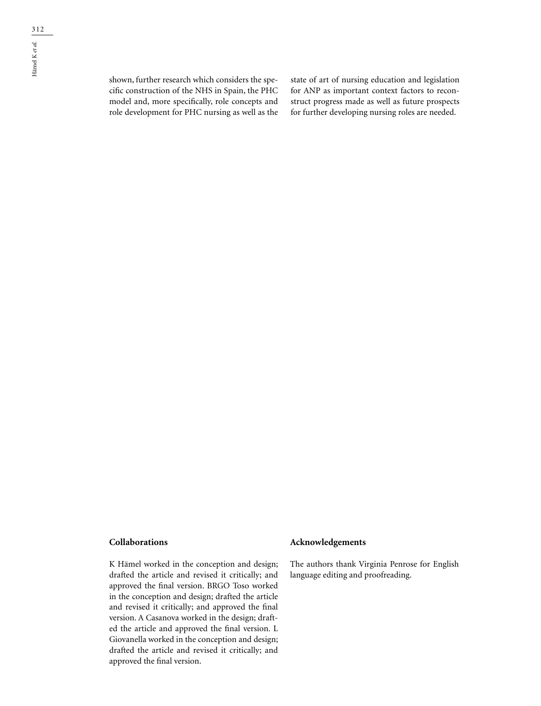shown, further research which considers the specific construction of the NHS in Spain, the PHC model and, more specifically, role concepts and role development for PHC nursing as well as the

state of art of nursing education and legislation for ANP as important context factors to reconstruct progress made as well as future prospects for further developing nursing roles are needed.

### **Collaborations**

K Hämel worked in the conception and design; drafted the article and revised it critically; and approved the final version. BRGO Toso worked in the conception and design; drafted the article and revised it critically; and approved the final version. A Casanova worked in the design; drafted the article and approved the final version. L Giovanella worked in the conception and design; drafted the article and revised it critically; and approved the final version.

#### **Acknowledgements**

The authors thank Virginia Penrose for English language editing and proofreading.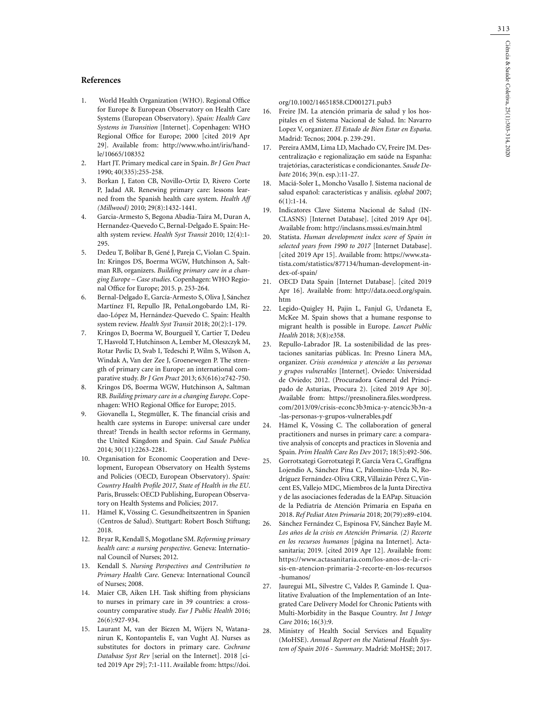#### **References**

- 1. World Health Organization (WHO). Regional Office for Europe & European Observatory on Health Care Systems (European Observatory). *Spain: Health Care Systems in Transition* [Internet]. Copenhagen: WHO Regional Office for Europe; 2000 [cited 2019 Apr 29]. Available from: http://www.who.int/iris/handle/10665/108352
- 2. Hart JT. Primary medical care in Spain. *Br J Gen Pract* 1990; 40(335):255-258.
- 3. Borkan J, Eaton CB, Novillo-Ortiz D, Rivero Corte P, Jadad AR. Renewing primary care: lessons learned from the Spanish health care system. *Health Aff (Millwood)* 2010; 29(8):1432-1441.
- 4. Garcia-Armesto S, Begona Abadia-Taira M, Duran A, Hernandez-Quevedo C, Bernal-Delgado E. Spain: Health system review. *Health Syst Transit* 2010; 12(4):1- 295.
- 5. Dedeu T, Bolibar B, Gené J, Pareja C, Violan C. Spain. In: Kringos DS, Boerma WGW, Hutchinson A, Saltman RB, organizers. *Building primary care in a changing Europe – Case studies*. Copenhagen: WHO Regional Office for Europe; 2015. p. 253-264.
- 6. Bernal-Delgado E, García-Armesto S, Oliva J, Sánchez Martínez FI, Repullo JR, PeñaLongobardo LM, Ridao-López M, Hernández-Quevedo C. Spain: Health system review. *Health Syst Transit* 2018; 20(2):1-179.
- 7. Kringos D, Boerma W, Bourgueil Y, Cartier T, Dedeu T, Hasvold T, Hutchinson A, Lember M, Oleszczyk M, Rotar Pavlic D, Svab I, Tedeschi P, Wilm S, Wilson A, Windak A, Van der Zee J, Groenewegen P. The strength of primary care in Europe: an international comparative study. *Br J Gen Pract* 2013; 63(616):e742-750.
- 8. Kringos DS, Boerma WGW, Hutchinson A, Saltman RB. *Building primary care in a changing Europe*. Copenhagen: WHO Regional Office for Europe; 2015.
- 9. Giovanella L, Stegmüller, K. The financial crisis and health care systems in Europe: universal care under threat? Trends in health sector reforms in Germany, the United Kingdom and Spain. *Cad Saude Publica* 2014; 30(11):2263-2281.
- 10. Organisation for Economic Cooperation and Development, European Observatory on Health Systems and Policies (OECD, European Observatory). *Spain: Country Health Profile 2017, State of Health in the EU*. Paris, Brussels: OECD Publishing, European Observatory on Health Systems and Policies; 2017.
- 11. Hämel K, Vössing C. Gesundheitszentren in Spanien (Centros de Salud). Stuttgart: Robert Bosch Stiftung; 2018.
- 12. Bryar R, Kendall S, Mogotlane SM. *Reforming primary health care: a nursing perspective*. Geneva: International Council of Nurses; 2012.
- 13. Kendall S. *Nursing Perspectives and Contribution to Primary Health Care*. Geneva: International Council of Nurses; 2008.
- 14. Maier CB, Aiken LH. Task shifting from physicians to nurses in primary care in 39 countries: a crosscountry comparative study. *Eur J Public Health* 2016; 26(6):927-934.
- 15. Laurant M, van der Biezen M, Wijers N, Watananirun K, Kontopantelis E, van Vught AJ. Nurses as substitutes for doctors in primary care. *Cochrane Database Syst Rev* [serial on the Internet]. 2018 [cited 2019 Apr 29]; 7:1-111. Available from: https://doi.

org/10.1002/14651858.CD001271.pub3

- 16. Freire JM. La atención primaria de salud y los hospitales en el Sistema Nacional de Salud. In: Navarro Lopez V, organizer. *El Estado de Bien Estar en España*. Madrid: Tecnos; 2004. p. 239-291.
- 17. Pereira AMM, Lima LD, Machado CV, Freire JM. Descentralização e regionalização em saúde na Espanha: trajetórias, características e condicionantes. *Saude Debate* 2016; 39(n. esp.):11-27.
- 18. Maciá-Soler L, Moncho Vasallo J. Sistema nacional de salud español: características y análisis. *eglobal* 2007;  $6(1):1-14.$
- 19. Indicatores Clave Sistema Nacional de Salud (IN-CLASNS) [Internet Database]. [cited 2019 Apr 04]. Available from: http://inclasns.msssi.es/main.html
- 20. Statista. *Human development index score of Spain in selected years from 1990 to 2017* [Internet Database]. [cited 2019 Apr 15]. Available from: https://www.statista.com/statistics/877134/human-development-index-of-spain/
- 21. OECD Data Spain [Internet Database]. [cited 2019 Apr 16]. Available from: http://data.oecd.org/spain. htm
- 22. Legido-Quigley H, Pajin L, Fanjul G, Urdaneta E, McKee M. Spain shows that a humane response to migrant health is possible in Europe. *Lancet Public Health* 2018; 3(8):e358.
- 23. Repullo-Labrador JR. La sostenibilidad de las prestaciones sanitarias públicas. In: Presno Linera MA, organizer. *Crisis económica y atención a las personas y grupos vulnerables* [Internet]. Oviedo: Universidad de Oviedo; 2012. (Procuradora General del Principado de Asturias, Procura 2). [cited 2019 Apr 30]. Available from: https://presnolinera.files.wordpress. com/2013/09/crisis-econc3b3mica-y-atencic3b3n-a -las-personas-y-grupos-vulnerables.pdf
- 24. Hämel K, Vössing C. The collaboration of general practitioners and nurses in primary care: a comparative analysis of concepts and practices in Slovenia and Spain. *Prim Health Care Res Dev* 2017; 18(5):492-506.
- 25. Gorrotxategi Gorrotxategi P, García Vera C, Graffigna Lojendio A, Sánchez Pina C, Palomino-Urda N, Rodríguez Fernández-Oliva CRR, Villaizán Pérez C, Vincent ES, Vallejo MDC, Miembros de la Junta Directiva y de las asociaciones federadas de la EAPap. Situación de la Pediatría de Atención Primaria en España en 2018. *Ref Pediat Aten Primaria* 2018; 20(79):e89-e104.
- 26. Sánchez Fernández C, Espinosa FV, Sánchez Bayle M. *Los años de la crisis en Atención Primaria. (2) Recorte en los recursos humanos* [página na Internet]. Actasanitaria; 2019. [cited 2019 Apr 12]. Available from: https://www.actasanitaria.com/los-anos-de-la-crisis-en-atencion-primaria-2-recorte-en-los-recursos -humanos/
- 27. Jauregui ML, Silvestre C, Valdes P, Gaminde I. Qualitative Evaluation of the Implementation of an Integrated Care Delivery Model for Chronic Patients with Multi-Morbidity in the Basque Country. *Int J Integr Care* 2016; 16(3):9.
- 28. Ministry of Health Social Services and Equality (MoHSE). *Annual Report on the National Health System of Spain 2016 - Summary*. Madrid: MoHSE; 2017.